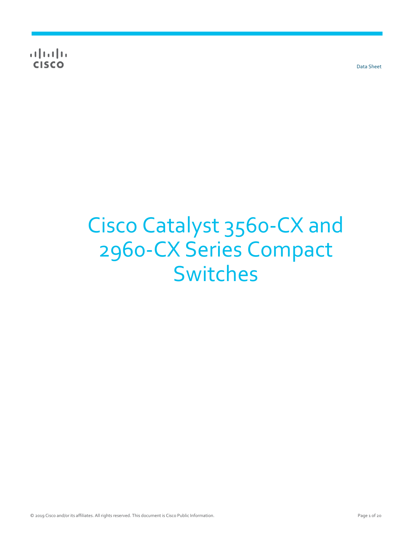$\frac{1}{2} \left[ \frac{1}{2} \left( \frac{1}{2} \right) + \frac{1}{2} \left( \frac{1}{2} \right) + \frac{1}{2} \left( \frac{1}{2} \right) + \frac{1}{2} \left( \frac{1}{2} \right) + \frac{1}{2} \left( \frac{1}{2} \right) + \frac{1}{2} \left( \frac{1}{2} \right) + \frac{1}{2} \left( \frac{1}{2} \right) + \frac{1}{2} \left( \frac{1}{2} \right) + \frac{1}{2} \left( \frac{1}{2} \right) + \frac{1}{2} \left( \frac{1}{2} \right) +$ **CISCO** 

Data Sheet

# Cisco Catalyst 3560-CX and 2960-CX Series Compact Switches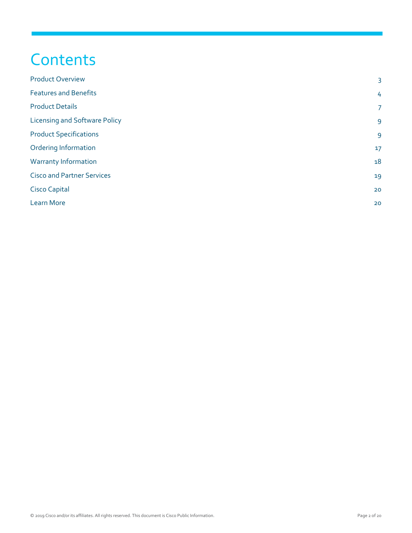# **Contents**

| <b>Product Overview</b>              | 3              |
|--------------------------------------|----------------|
| <b>Features and Benefits</b>         | 4              |
| <b>Product Details</b>               | $\overline{7}$ |
| <b>Licensing and Software Policy</b> | $\overline{9}$ |
| <b>Product Specifications</b>        | 9              |
| <b>Ordering Information</b>          | 17             |
| <b>Warranty Information</b>          | 18             |
| <b>Cisco and Partner Services</b>    | 19             |
| <b>Cisco Capital</b>                 | 20             |
| <b>Learn More</b>                    | 20             |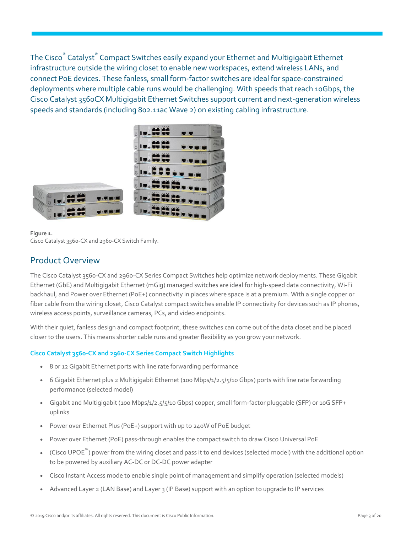The Cisco® Catalyst® Compact Switches easily expand your Ethernet and Multigigabit Ethernet infrastructure outside the wiring closet to enable new workspaces, extend wireless LANs, and connect PoE devices. These fanless, small form-factor switches are ideal for space-constrained deployments where multiple cable runs would be challenging. With speeds that reach 10Gbps, the Cisco Catalyst 3560CX Multigigabit Ethernet Switches support current and next-generation wireless speeds and standards (including 802.11ac Wave 2) on existing cabling infrastructure.



**Figure 1.**  Cisco Catalyst 3560-CX and 2960-CX Switch Family.

### <span id="page-2-0"></span>Product Overview

The Cisco Catalyst 3560-CX and 2960-CX Series Compact Switches help optimize network deployments. These Gigabit Ethernet (GbE) and Multigigabit Ethernet (mGig) managed switches are ideal for high-speed data connectivity, Wi-Fi backhaul, and Power over Ethernet (PoE+) connectivity in places where space is at a premium. With a single copper or fiber cable from the wiring closet, Cisco Catalyst compact switches enable IP connectivity for devices such as IP phones, wireless access points, surveillance cameras, PCs, and video endpoints.

With their quiet, fanless design and compact footprint, these switches can come out of the data closet and be placed closer to the users. This means shorter cable runs and greater flexibility as you grow your network.

### **Cisco Catalyst 3560-CX and 2960-CX Series Compact Switch Highlights**

- 8 or 12 Gigabit Ethernet ports with line rate forwarding performance
- 6 Gigabit Ethernet plus 2 Multigigabit Ethernet (100 Mbps/1/2.5/5/10 Gbps) ports with line rate forwarding performance (selected model)
- Gigabit and Multigigabit (100 Mbps/1/2.5/5/10 Gbps) copper, small form-factor pluggable (SFP) or 10G SFP+ uplinks
- Power over Ethernet Plus (PoE+) support with up to 240W of PoE budget
- Power over Ethernet (PoE) pass-through enables the compact switch to draw Cisco Universal PoE
- (Cisco UPOE<sup>™</sup>) power from the wiring closet and pass it to end devices (selected model) with the additional option to be powered by auxiliary AC-DC or DC-DC power adapter
- Cisco Instant Access mode to enable single point of management and simplify operation (selected models)
- Advanced Layer 2 (LAN Base) and Layer 3 (IP Base) support with an option to upgrade to IP services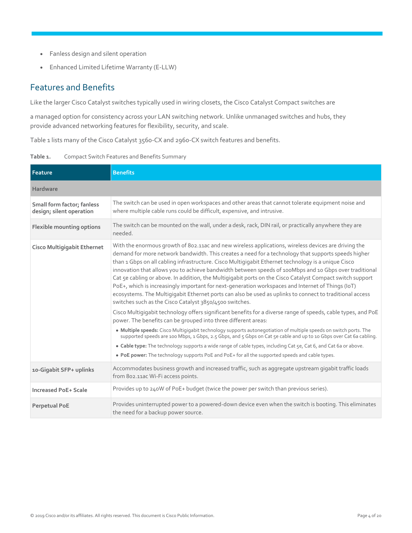- Fanless design and silent operation
- Enhanced Limited Lifetime Warranty (E-LLW)

### <span id="page-3-0"></span>Features and Benefits

Like the larger Cisco Catalyst switches typically used in wiring closets, the Cisco Catalyst Compact switches are

a managed option for consistency across your LAN switching network. Unlike unmanaged switches and hubs, they provide advanced networking features for flexibility, security, and scale.

Table 1 lists many of the Cisco Catalyst 3560-CX and 2960-CX switch features and benefits.

| Table 1. |  |  | <b>Compact Switch Features and Benefits Summary</b> |
|----------|--|--|-----------------------------------------------------|
|----------|--|--|-----------------------------------------------------|

| Feature                                                | <b>Benefits</b>                                                                                                                                                                                                                                                                                                                                                                                                                                                                                                                                                                                                                                                                                                                                                                                                       |
|--------------------------------------------------------|-----------------------------------------------------------------------------------------------------------------------------------------------------------------------------------------------------------------------------------------------------------------------------------------------------------------------------------------------------------------------------------------------------------------------------------------------------------------------------------------------------------------------------------------------------------------------------------------------------------------------------------------------------------------------------------------------------------------------------------------------------------------------------------------------------------------------|
| Hardware                                               |                                                                                                                                                                                                                                                                                                                                                                                                                                                                                                                                                                                                                                                                                                                                                                                                                       |
| Small form factor; fanless<br>design; silent operation | The switch can be used in open workspaces and other areas that cannot tolerate equipment noise and<br>where multiple cable runs could be difficult, expensive, and intrusive.                                                                                                                                                                                                                                                                                                                                                                                                                                                                                                                                                                                                                                         |
| Flexible mounting options                              | The switch can be mounted on the wall, under a desk, rack, DIN rail, or practically anywhere they are<br>needed.                                                                                                                                                                                                                                                                                                                                                                                                                                                                                                                                                                                                                                                                                                      |
| <b>Cisco Multigigabit Ethernet</b>                     | With the enormous growth of 802.11ac and new wireless applications, wireless devices are driving the<br>demand for more network bandwidth. This creates a need for a technology that supports speeds higher<br>than 1 Gbps on all cabling infrastructure. Cisco Multigigabit Ethernet technology is a unique Cisco<br>innovation that allows you to achieve bandwidth between speeds of 100Mbps and 10 Gbps over traditional<br>Cat 5e cabling or above. In addition, the Multigigabit ports on the Cisco Catalyst Compact switch support<br>PoE+, which is increasingly important for next-generation workspaces and Internet of Things (IoT)<br>ecosystems. The Multiqiqabit Ethernet ports can also be used as uplinks to connect to traditional access<br>switches such as the Cisco Catalyst 3850/4500 switches. |
|                                                        | Cisco Multigigabit technology offers significant benefits for a diverse range of speeds, cable types, and PoE<br>power. The benefits can be grouped into three different areas:                                                                                                                                                                                                                                                                                                                                                                                                                                                                                                                                                                                                                                       |
|                                                        | . Multiple speeds: Cisco Multigigabit technology supports autonegotiation of multiple speeds on switch ports. The<br>supported speeds are 100 Mbps, 1 Gbps, 2.5 Gbps, and 5 Gbps on Cat 5e cable and up to 10 Gbps over Cat 6a cabling.<br>• Cable type: The technology supports a wide range of cable types, including Cat 5e, Cat 6, and Cat 6a or above.<br>• PoE power: The technology supports PoE and PoE+ for all the supported speeds and cable types.                                                                                                                                                                                                                                                                                                                                                        |
| 10-Gigabit SFP+ uplinks                                | Accommodates business growth and increased traffic, such as aggregate upstream gigabit traffic loads<br>from 802.11ac Wi-Fi access points.                                                                                                                                                                                                                                                                                                                                                                                                                                                                                                                                                                                                                                                                            |
| <b>Increased PoE+ Scale</b>                            | Provides up to 240W of PoE+ budget (twice the power per switch than previous series).                                                                                                                                                                                                                                                                                                                                                                                                                                                                                                                                                                                                                                                                                                                                 |
| <b>Perpetual PoE</b>                                   | Provides uninterrupted power to a powered-down device even when the switch is booting. This eliminates<br>the need for a backup power source.                                                                                                                                                                                                                                                                                                                                                                                                                                                                                                                                                                                                                                                                         |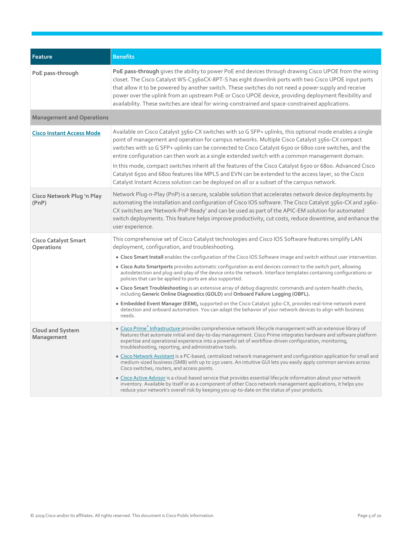| Feature                                   | <b>Benefits</b>                                                                                                                                                                                                                                                                                                                                                                                                                                                                                                                                                                                                                                                                                                                                                                                                                                                                                                                                                                                                                    |
|-------------------------------------------|------------------------------------------------------------------------------------------------------------------------------------------------------------------------------------------------------------------------------------------------------------------------------------------------------------------------------------------------------------------------------------------------------------------------------------------------------------------------------------------------------------------------------------------------------------------------------------------------------------------------------------------------------------------------------------------------------------------------------------------------------------------------------------------------------------------------------------------------------------------------------------------------------------------------------------------------------------------------------------------------------------------------------------|
| PoE pass-through                          | PoE pass-through gives the ability to power PoE end devices through drawing Cisco UPOE from the wiring<br>closet. The Cisco Catalyst WS-C356oCX-8PT-S has eight downlink ports with two Cisco UPOE input ports<br>that allow it to be powered by another switch. These switches do not need a power supply and receive<br>power over the uplink from an upstream PoE or Cisco UPOE device, providing deployment flexibility and<br>availability. These switches are ideal for wiring-constrained and space-constrained applications.                                                                                                                                                                                                                                                                                                                                                                                                                                                                                               |
| <b>Management and Operations</b>          |                                                                                                                                                                                                                                                                                                                                                                                                                                                                                                                                                                                                                                                                                                                                                                                                                                                                                                                                                                                                                                    |
| <b>Cisco Instant Access Mode</b>          | Available on Cisco Catalyst 3560-CX switches with 10 G SFP+ uplinks, this optional mode enables a single<br>point of management and operation for campus networks. Multiple Cisco Catalyst 3560-CX compact<br>switches with 10 G SFP+ uplinks can be connected to Cisco Catalyst 6500 or 6800 core switches, and the<br>entire configuration can then work as a single extended switch with a common management domain.<br>In this mode, compact switches inherit all the features of the Cisco Catalyst 6500 or 6800. Advanced Cisco<br>Catalyst 6500 and 6800 features like MPLS and EVN can be extended to the access layer, so the Cisco<br>Catalyst Instant Access solution can be deployed on all or a subset of the campus network.                                                                                                                                                                                                                                                                                         |
| Cisco Network Plug 'n Play<br>(PhP)       | Network Plug-n-Play (PnP) is a secure, scalable solution that accelerates network device deployments by<br>automating the installation and configuration of Cisco IOS software. The Cisco Catalyst 3560-CX and 2960-<br>CX switches are 'Network-PnP Ready' and can be used as part of the APIC-EM solution for automated<br>switch deployments. This feature helps improve productivity, cut costs, reduce downtime, and enhance the<br>user experience.                                                                                                                                                                                                                                                                                                                                                                                                                                                                                                                                                                          |
| <b>Cisco Catalyst Smart</b><br>Operations | This comprehensive set of Cisco Catalyst technologies and Cisco IOS Software features simplify LAN<br>deployment, configuration, and troubleshooting.<br>. Cisco Smart Install enables the configuration of the Cisco IOS Software image and switch without user intervention.<br>• Cisco Auto Smartports provides automatic configuration as end devices connect to the switch port, allowing<br>autodetection and plug-and-play of the device onto the network. Interface templates containing configurations or<br>policies that can be applied to ports are also supported.<br>• Cisco Smart Troubleshooting is an extensive array of debug diagnostic commands and system health checks,<br>including Generic Online Diagnostics (GOLD) and Onboard Failure Logging (OBFL).<br>· Embedded Event Manager (EEM), supported on the Cisco Catalyst 3560-CX, provides real-time network event<br>detection and onboard automation. You can adapt the behavior of your network devices to align with business<br>needs.             |
| <b>Cloud and System</b><br>Management     | · Cisco Prime® Infrastructure provides comprehensive network lifecycle management with an extensive library of<br>features that automate initial and day-to-day management. Cisco Prime integrates hardware and software platform<br>expertise and operational experience into a powerful set of workflow-driven configuration, monitoring,<br>troubleshooting, reporting, and administrative tools.<br>• Cisco Network Assistant is a PC-based, centralized network management and configuration application for small and<br>medium-sized business (SMB) with up to 250 users. An intuitive GUI lets you easily apply common services across<br>Cisco switches, routers, and access points.<br>• Cisco Active Advisor is a cloud-based service that provides essential lifecycle information about your network<br>inventory. Available by itself or as a component of other Cisco network management applications, it helps you<br>reduce your network's overall risk by keeping you up-to-date on the status of your products. |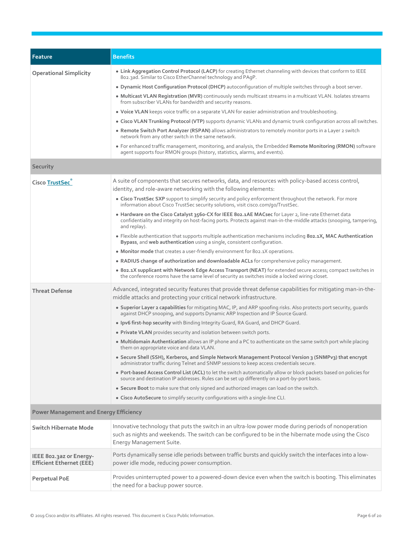| Feature                                                    | <b>Benefits</b>                                                                                                                                                                                                                               |
|------------------------------------------------------------|-----------------------------------------------------------------------------------------------------------------------------------------------------------------------------------------------------------------------------------------------|
| <b>Operational Simplicity</b>                              | . Link Aggregation Control Protocol (LACP) for creating Ethernet channeling with devices that conform to IEEE<br>802.3ad. Similar to Cisco EtherChannel technology and PAqP.                                                                  |
|                                                            | . Dynamic Host Configuration Protocol (DHCP) autoconfiguration of multiple switches through a boot server.                                                                                                                                    |
|                                                            | • Multicast VLAN Registration (MVR) continuously sends multicast streams in a multicast VLAN. Isolates streams<br>from subscriber VLANs for bandwidth and security reasons.                                                                   |
|                                                            | . Voice VLAN keeps voice traffic on a separate VLAN for easier administration and troubleshooting.                                                                                                                                            |
|                                                            | . Cisco VLAN Trunking Protocol (VTP) supports dynamic VLANs and dynamic trunk configuration across all switches.                                                                                                                              |
|                                                            | . Remote Switch Port Analyzer (RSPAN) allows administrators to remotely monitor ports in a Layer 2 switch<br>network from any other switch in the same network.                                                                               |
|                                                            | • For enhanced traffic management, monitoring, and analysis, the Embedded Remote Monitoring (RMON) software<br>agent supports four RMON groups (history, statistics, alarms, and events).                                                     |
| Security                                                   |                                                                                                                                                                                                                                               |
| Cisco TrustSec                                             | A suite of components that secures networks, data, and resources with policy-based access control,<br>identity, and role-aware networking with the following elements:                                                                        |
|                                                            | • Cisco TrustSec SXP support to simplify security and policy enforcement throughout the network. For more<br>information about Cisco TrustSec security solutions, visit cisco.com/go/TrustSec.                                                |
|                                                            | • Hardware on the Cisco Catalyst 3560-CX for IEEE 802.1AE MACsec for Layer 2, line-rate Ethernet data<br>confidentiality and integrity on host-facing ports. Protects against man-in-the-middle attacks (snooping, tampering,<br>and replay). |
|                                                            | • Flexible authentication that supports multiple authentication mechanisms including 802.1X, MAC Authentication<br>Bypass, and web authentication using a single, consistent configuration.                                                   |
|                                                            | • Monitor mode that creates a user-friendly environment for 802.1X operations.                                                                                                                                                                |
|                                                            | • RADIUS change of authorization and downloadable ACLs for comprehensive policy management.                                                                                                                                                   |
|                                                            | . 802.1X supplicant with Network Edge Access Transport (NEAT) for extended secure access; compact switches in<br>the conference rooms have the same level of security as switches inside a locked wiring closet.                              |
| <b>Threat Defense</b>                                      | Advanced, integrated security features that provide threat defense capabilities for mitigating man-in-the-                                                                                                                                    |
|                                                            | middle attacks and protecting your critical network infrastructure.                                                                                                                                                                           |
|                                                            | • Superior Layer 2 capabilities for mitigating MAC, IP, and ARP spoofing risks. Also protects port security, quards<br>against DHCP snooping, and supports Dynamic ARP Inspection and IP Source Guard.                                        |
|                                                            | . Ipv6 first-hop security with Binding Integrity Guard, RA Guard, and DHCP Guard.                                                                                                                                                             |
|                                                            | . Private VLAN provides security and isolation between switch ports.                                                                                                                                                                          |
|                                                            | . Multidomain Authentication allows an IP phone and a PC to authenticate on the same switch port while placing<br>them on appropriate voice and data VLAN.                                                                                    |
|                                                            | • Secure Shell (SSH), Kerberos, and Simple Network Management Protocol Version 3 (SNMPv3) that encrypt<br>administrator traffic during Telnet and SNMP sessions to keep access credentials secure.                                            |
|                                                            | • Port-based Access Control List (ACL) to let the switch automatically allow or block packets based on policies for<br>source and destination IP addresses. Rules can be set up differently on a port-by-port basis.                          |
|                                                            | • Secure Boot to make sure that only signed and authorized images can load on the switch.                                                                                                                                                     |
|                                                            | • Cisco AutoSecure to simplify security configurations with a single-line CLI.                                                                                                                                                                |
| <b>Power Management and Energy Efficiency</b>              |                                                                                                                                                                                                                                               |
| <b>Switch Hibernate Mode</b>                               | Innovative technology that puts the switch in an ultra-low power mode during periods of nonoperation<br>such as nights and weekends. The switch can be configured to be in the hibernate mode using the Cisco<br>Energy Management Suite.     |
| IEEE 802.3az or Energy-<br><b>Efficient Ethernet (EEE)</b> | Ports dynamically sense idle periods between traffic bursts and quickly switch the interfaces into a low-<br>power idle mode, reducing power consumption.                                                                                     |
| Perpetual PoE                                              | Provides uninterrupted power to a powered-down device even when the switch is booting. This eliminates<br>the need for a backup power source.                                                                                                 |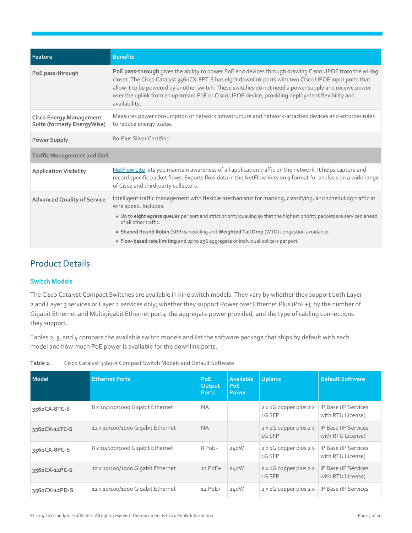| Feature                                                       | <b>Benefits</b>                                                                                                                                                                                                                                                                                                                                                                                                                              |
|---------------------------------------------------------------|----------------------------------------------------------------------------------------------------------------------------------------------------------------------------------------------------------------------------------------------------------------------------------------------------------------------------------------------------------------------------------------------------------------------------------------------|
| PoE pass-through                                              | PoE pass-through gives the ability to power PoE end devices through drawing Cisco UPOE from the wiring<br>closet. The Cisco Catalyst 356oCX-8PT-S has eight downlink ports with two Cisco UPOE input ports that<br>allow it to be powered by another switch. These switches do not need a power supply and receive power<br>over the uplink from an upstream PoE or Cisco UPOE device, providing deployment flexibility and<br>availability. |
| <b>Cisco Energy Management</b><br>Suite (formerly EnergyWise) | Measures power consumption of network infrastructure and network-attached devices and enforces rules<br>to reduce energy usage.                                                                                                                                                                                                                                                                                                              |
| <b>Power Supply</b>                                           | 80-Plus Silver Certified.                                                                                                                                                                                                                                                                                                                                                                                                                    |
| <b>Traffic Management and QoS</b>                             |                                                                                                                                                                                                                                                                                                                                                                                                                                              |
| <b>Application Visibility</b>                                 | NetFlow Lite lets you maintain awareness of all application traffic on the network. It helps capture and<br>record specific packet flows. Exports flow data in the NetFlow Version 9 format for analysis on a wide range<br>of Cisco and third-party collectors.                                                                                                                                                                             |
| <b>Advanced Quality of Service</b>                            | Intelligent traffic management with flexible mechanisms for marking, classifying, and scheduling traffic at<br>wire speed. Includes:                                                                                                                                                                                                                                                                                                         |
|                                                               | . Up to eight egress queues per port and strict priority queuing so that the highest priority packets are serviced ahead<br>of all other traffic.                                                                                                                                                                                                                                                                                            |
|                                                               | • Shaped Round Robin (SRR) scheduling and Weighted Tail Drop (WTD) congestion avoidance.                                                                                                                                                                                                                                                                                                                                                     |
|                                                               | • Flow-based rate limiting and up to 256 aggregate or individual policers per port.                                                                                                                                                                                                                                                                                                                                                          |

# <span id="page-6-0"></span>Product Details

### **Switch Models**

The Cisco Catalyst Compact Switches are available in nine switch models. They vary by whether they support both Layer 2 and Layer 3 services or Layer 2 services only; whether they support Power over Ethernet Plus (PoE+); by the number of Gigabit Ethernet and Multigigabit Ethernet ports; the aggregate power provided, and the type of cabling connections they support.

Tables 2, 3, and 4 compare the available switch models and list the software package that ships by default with each model and how much PoE power is available for the downlink ports.

| <b>Model</b>  | <b>Ethernet Ports</b>             | <b>PoE</b><br>Output<br><b>Ports</b> | <b>Available</b><br>PoE.<br><b>Power</b> | <b>Uplinks</b>                                 | <b>Default Software</b>                   |
|---------------|-----------------------------------|--------------------------------------|------------------------------------------|------------------------------------------------|-------------------------------------------|
| 3560CX-8TC-S  | 8 x 10/100/1000 Gigabit Ethernet  | <b>NA</b>                            |                                          | $2 \times 1G$ copper plus $2 \times$<br>1G SFP | IP Base (IP Services<br>with RTU License) |
| 3560CX-12TC-S | 12 x 10/100/1000 Gigabit Ethernet | <b>NA</b>                            |                                          | $2 \times 1G$ copper plus $2 \times$<br>1G SFP | IP Base (IP Services<br>with RTU License) |
| 356oCX-8PC-S  | 8 x 10/100/1000 Gigabit Ethernet  | 8 PoE+                               | 240W                                     | $2 \times 1G$ copper plus $2 \times$<br>1G SFP | IP Base (IP Services<br>with RTU License) |
| 3560CX-12PC-S | 12 x 10/100/1000 Gigabit Ethernet | $12$ PoE+                            | 240W                                     | $2 \times 1G$ copper plus $2 \times$<br>1G SFP | IP Base (IP Services<br>with RTU License) |
| 3560CX-12PD-S | 12 x 10/100/1000 Gigabit Ethernet | $12$ PoE+                            | 240W                                     | $2 \times 1$ G copper plus $2 \times$          | IP Base (IP Services                      |

**Table 2.** Cisco Catalyst 3560-X Compact Switch Models and Default Software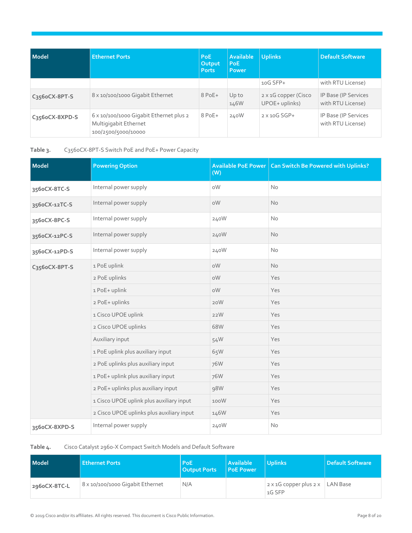| <b>Model</b>   | <b>Ethernet Ports</b>                                                                   | PoE:<br>Output<br><b>Ports</b> | <b>Available</b><br><b>PoE</b><br>Power | <b>Uplinks</b>                         | <b>Default Software</b>                   |
|----------------|-----------------------------------------------------------------------------------------|--------------------------------|-----------------------------------------|----------------------------------------|-------------------------------------------|
|                |                                                                                         |                                |                                         | $10G$ SFP+                             | with RTU License)                         |
| C356oCX-8PT-S  | 8 x 10/100/1000 Gigabit Ethernet                                                        | $8$ PoE+                       | Up to<br>146W                           | 2 x 1G copper (Cisco<br>UPOE+ uplinks) | IP Base (IP Services<br>with RTU License) |
| C356oCX-8XPD-S | 6 x 10/100/1000 Gigabit Ethernet plus 2<br>Multigigabit Ethernet<br>100/2500/5000/10000 | $8$ PoE+                       | 240W                                    | $2 \times 10G$ SGP+                    | IP Base (IP Services<br>with RTU License) |

**Table 3.** C3560CX-8PT-S Switch PoE and PoE+ Power Capacity

| <b>Model</b>  | <b>Powering Option</b>                    | (W)  | Available PoE Power   Can Switch Be Powered with Uplinks? |
|---------------|-------------------------------------------|------|-----------------------------------------------------------|
| 356oCX-8TC-S  | Internal power supply                     | oW   | No                                                        |
| 356oCX-12TC-S | Internal power supply                     | oW   | <b>No</b>                                                 |
| 356oCX-8PC-S  | Internal power supply                     | 240W | <b>No</b>                                                 |
| 356oCX-12PC-S | Internal power supply                     | 240W | <b>No</b>                                                 |
| 356oCX-12PD-S | Internal power supply                     | 240W | No                                                        |
| C356oCX-8PT-S | 1 PoE uplink                              | oW   | <b>No</b>                                                 |
|               | 2 PoE uplinks                             | oW   | Yes                                                       |
|               | 1 PoE+ uplink                             | oW   | Yes                                                       |
|               | 2 PoE+ uplinks                            | 20W  | Yes                                                       |
|               | 1 Cisco UPOE uplink                       | 22W  | Yes                                                       |
|               | 2 Cisco UPOE uplinks                      | 68W  | Yes                                                       |
|               | Auxiliary input                           | 54W  | Yes                                                       |
|               | 1 PoE uplink plus auxiliary input         | 65W  | Yes                                                       |
|               | 2 PoE uplinks plus auxiliary input        | 76W  | Yes                                                       |
|               | 1 PoE+ uplink plus auxiliary input        | 76W  | Yes                                                       |
|               | 2 PoE+ uplinks plus auxiliary input       | 98W  | Yes                                                       |
|               | 1 Cisco UPOE uplink plus auxiliary input  | 100W | Yes                                                       |
|               | 2 Cisco UPOE uplinks plus auxiliary input | 146W | Yes                                                       |
| 356oCX-8XPD-S | Internal power supply                     | 240W | No                                                        |

**Table 4.** Cisco Catalyst 2960-X Compact Switch Models and Default Software

| Model        | <b>Ethernet Ports</b>            | <b>PoE</b><br><b>Output Ports</b> | <b>Available</b><br><b>PoE Power</b> | <b>Uplinks</b>                                           | <b>Default Software</b> |
|--------------|----------------------------------|-----------------------------------|--------------------------------------|----------------------------------------------------------|-------------------------|
| 296oCX-8TC-L | 8 x 10/100/1000 Gigabit Ethernet | N/A                               |                                      | $2 \times 1$ G copper plus $2 \times$ LAN Base<br>1G SFP |                         |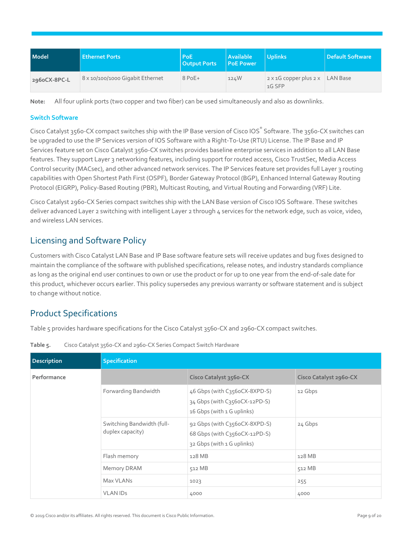| Model        | <b>Ethernet Ports</b>            | PoE:<br><b>Output Ports</b> | <b>Available</b><br><b>PoE Power</b> | <b>Uplinks</b>                                  | <b>Default Software</b> |
|--------------|----------------------------------|-----------------------------|--------------------------------------|-------------------------------------------------|-------------------------|
| 296oCX-8PC-L | 8 x 10/100/1000 Gigabit Ethernet | $8$ PoE+                    | 124W                                 | $2 \times 1$ G copper plus $2 \times$<br>1G SFP | LAN Base                |

**Note:** All four uplink ports (two copper and two fiber) can be used simultaneously and also as downlinks.

#### **Switch Software**

Cisco Catalyst 3560-CX compact switches ship with the IP Base version of Cisco IOS® Software. The 3560-CX switches can be upgraded to use the IP Services version of IOS Software with a Right-To-Use (RTU) License. The IP Base and IP Services feature set on Cisco Catalyst 3560-CX switches provides baseline enterprise services in addition to all LAN Base features. They support Layer 3 networking features, including support for routed access, Cisco TrustSec, Media Access Control security (MACsec), and other advanced network services. The IP Services feature set provides full Layer 3 routing capabilities with Open Shortest Path First (OSPF), Border Gateway Protocol (BGP), Enhanced Internal Gateway Routing Protocol (EIGRP), Policy-Based Routing (PBR), Multicast Routing, and Virtual Routing and Forwarding (VRF) Lite.

Cisco Catalyst 2960-CX Series compact switches ship with the LAN Base version of Cisco IOS Software. These switches deliver advanced Layer 2 switching with intelligent Layer 2 through 4 services for the network edge, such as voice, video, and wireless LAN services.

## <span id="page-8-0"></span>Licensing and Software Policy

Customers with Cisco Catalyst LAN Base and IP Base software feature sets will receive updates and bug fixes designed to maintain the compliance of the software with published specifications, release notes, and industry standards compliance as long as the original end user continues to own or use the product or for up to one year from the end-of-sale date for this product, whichever occurs earlier. This policy supersedes any previous warranty or software statement and is subject to change without notice.

# <span id="page-8-1"></span>Product Specifications

Table 5 provides hardware specifications for the Cisco Catalyst 3560-CX and 2960-CX compact switches.

| <b>Description</b> | Specification                                  |                                                                                              |                        |  |  |
|--------------------|------------------------------------------------|----------------------------------------------------------------------------------------------|------------------------|--|--|
| Performance        |                                                | Cisco Catalyst 3560-CX                                                                       | Cisco Catalyst 2960-CX |  |  |
|                    | Forwarding Bandwidth                           | 46 Gbps (with C356oCX-8XPD-S)<br>34 Gbps (with C356oCX-12PD-S)<br>16 Gbps (with 1 G uplinks) | 12 Gbps                |  |  |
|                    | Switching Bandwidth (full-<br>duplex capacity) | 92 Gbps (with C356oCX-8XPD-S)<br>68 Gbps (with C356oCX-12PD-S)<br>32 Gbps (with 1 G uplinks) | 24 Gbps                |  |  |
|                    | Flash memory                                   | 128 MB                                                                                       | 128 MB                 |  |  |
|                    | Memory DRAM                                    | 512 MB                                                                                       | 512 MB                 |  |  |
|                    | Max VLANs                                      | 1023                                                                                         | 255                    |  |  |
|                    | <b>VLAN IDS</b>                                | 4000                                                                                         | 4000                   |  |  |

**Table 5.** Cisco Catalyst 3560-CX and 2960-CX Series Compact Switch Hardware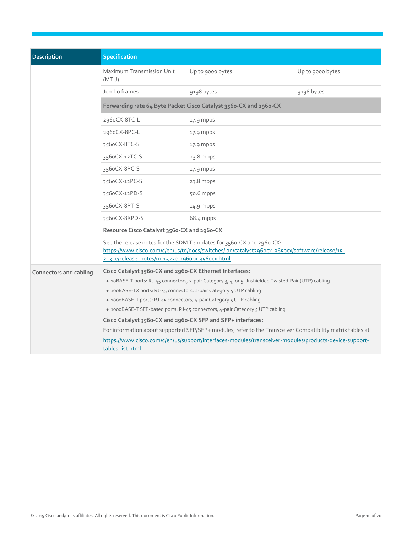| Description                   | <b>Specification</b>                                                                                                                                                                                                                                                                                                                                                                                                                                                                                                                                                       |                          |                  |  |  |  |  |
|-------------------------------|----------------------------------------------------------------------------------------------------------------------------------------------------------------------------------------------------------------------------------------------------------------------------------------------------------------------------------------------------------------------------------------------------------------------------------------------------------------------------------------------------------------------------------------------------------------------------|--------------------------|------------------|--|--|--|--|
|                               | Maximum Transmission Unit<br>(MTU)                                                                                                                                                                                                                                                                                                                                                                                                                                                                                                                                         | Up to 9000 bytes         | Up to 9000 bytes |  |  |  |  |
|                               | Jumbo frames                                                                                                                                                                                                                                                                                                                                                                                                                                                                                                                                                               | 9198 bytes<br>9198 bytes |                  |  |  |  |  |
|                               | Forwarding rate 64 Byte Packet Cisco Catalyst 3560-CX and 2960-CX                                                                                                                                                                                                                                                                                                                                                                                                                                                                                                          |                          |                  |  |  |  |  |
|                               | 296oCX-8TC-L                                                                                                                                                                                                                                                                                                                                                                                                                                                                                                                                                               | 17.9 mpps                |                  |  |  |  |  |
|                               | 296oCX-8PC-L                                                                                                                                                                                                                                                                                                                                                                                                                                                                                                                                                               | 17.9 mpps                |                  |  |  |  |  |
|                               | 356oCX-8TC-S                                                                                                                                                                                                                                                                                                                                                                                                                                                                                                                                                               | 17.9 mpps                |                  |  |  |  |  |
|                               | 356oCX-12TC-S                                                                                                                                                                                                                                                                                                                                                                                                                                                                                                                                                              | 23.8 mpps                |                  |  |  |  |  |
|                               | 356oCX-8PC-S                                                                                                                                                                                                                                                                                                                                                                                                                                                                                                                                                               | 17.9 mpps                |                  |  |  |  |  |
|                               | 356oCX-12PC-S                                                                                                                                                                                                                                                                                                                                                                                                                                                                                                                                                              | 23.8 mpps                |                  |  |  |  |  |
|                               | 356oCX-12PD-S                                                                                                                                                                                                                                                                                                                                                                                                                                                                                                                                                              | 50.6 mpps                |                  |  |  |  |  |
|                               | 356oCX-8PT-S                                                                                                                                                                                                                                                                                                                                                                                                                                                                                                                                                               | 14.9 mpps                |                  |  |  |  |  |
|                               | 356oCX-8XPD-S                                                                                                                                                                                                                                                                                                                                                                                                                                                                                                                                                              | $68.4$ mpps              |                  |  |  |  |  |
|                               | Resource Cisco Catalyst 3560-CX and 2960-CX                                                                                                                                                                                                                                                                                                                                                                                                                                                                                                                                |                          |                  |  |  |  |  |
|                               | See the release notes for the SDM Templates for 3560-CX and 2960-CX:<br>https://www.cisco.com/c/en/us/td/docs/switches/lan/catalyst296ocx_365ocx/software/release/15-<br>2 3 e/release_notes/rn-1523e-2960CX-3560CX.html                                                                                                                                                                                                                                                                                                                                                   |                          |                  |  |  |  |  |
| <b>Connectors and cabling</b> | Cisco Catalyst 3560-CX and 2960-CX Ethernet Interfaces:<br>· 10BASE-T ports: RJ-45 connectors, 2-pair Category 3, 4, or 5 Unshielded Twisted-Pair (UTP) cabling<br>• 100BASE-TX ports: RJ-45 connectors, 2-pair Category 5 UTP cabling<br>• 1000BASE-T ports: RJ-45 connectors, 4-pair Category 5 UTP cabling<br>• 1000BASE-T SFP-based ports: RJ-45 connectors, 4-pair Category 5 UTP cabling<br>Cisco Catalyst 356o-CX and 296o-CX SFP and SFP+ interfaces:<br>For information about supported SFP/SFP+ modules, refer to the Transceiver Compatibility matrix tables at |                          |                  |  |  |  |  |
|                               | https://www.cisco.com/c/en/us/support/interfaces-modules/transceiver-modules/products-device-support-<br>tables-list.html                                                                                                                                                                                                                                                                                                                                                                                                                                                  |                          |                  |  |  |  |  |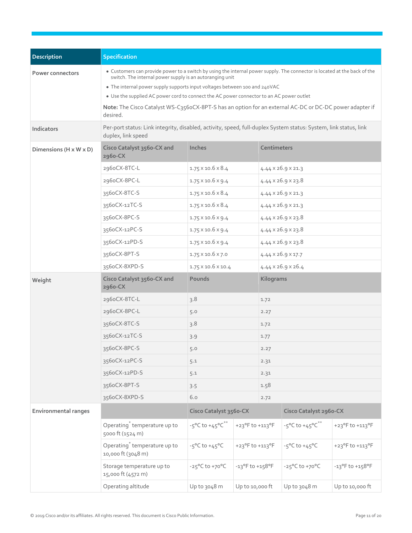| <b>Description</b>          | <b>Specification</b>                                                                                                                                                                                                                                                                                                                                                                                                                                                                   |                                                 |                                     |                                |                                                 |                 |
|-----------------------------|----------------------------------------------------------------------------------------------------------------------------------------------------------------------------------------------------------------------------------------------------------------------------------------------------------------------------------------------------------------------------------------------------------------------------------------------------------------------------------------|-------------------------------------------------|-------------------------------------|--------------------------------|-------------------------------------------------|-----------------|
| <b>Power connectors</b>     | • Customers can provide power to a switch by using the internal power supply. The connector is located at the back of the<br>switch. The internal power supply is an autoranging unit<br>• The internal power supply supports input voltages between 100 and 240VAC<br>• Use the supplied AC power cord to connect the AC power connector to an AC power outlet<br>Note: The Cisco Catalyst WS-C356oCX-8PT-S has an option for an external AC-DC or DC-DC power adapter if<br>desired. |                                                 |                                     |                                |                                                 |                 |
| <b>Indicators</b>           | Per-port status: Link integrity, disabled, activity, speed, full-duplex System status: System, link status, link<br>duplex, link speed                                                                                                                                                                                                                                                                                                                                                 |                                                 |                                     |                                |                                                 |                 |
| Dimensions (H x W x D)      | Cisco Catalyst 3560-CX and<br>2960-CX                                                                                                                                                                                                                                                                                                                                                                                                                                                  | Inches                                          |                                     | Centimeters                    |                                                 |                 |
|                             | 296oCX-8TC-L                                                                                                                                                                                                                                                                                                                                                                                                                                                                           | $1.75 \times 10.6 \times 8.4$                   |                                     |                                | 4.44 × 26.9 × 21.3                              |                 |
|                             | 296oCX-8PC-L                                                                                                                                                                                                                                                                                                                                                                                                                                                                           | $1.75 \times 10.6 \times 9.4$                   |                                     |                                | $4.44 \times 26.9 \times 23.8$                  |                 |
|                             | 356oCX-8TC-S                                                                                                                                                                                                                                                                                                                                                                                                                                                                           | $1.75 \times 10.6 \times 8.4$                   |                                     |                                | $4.44 \times 26.9 \times 21.3$                  |                 |
|                             | 356oCX-12TC-S                                                                                                                                                                                                                                                                                                                                                                                                                                                                          | $1.75 \times 10.6 \times 8.4$                   |                                     |                                | 4.44 × 26.9 × 21.3                              |                 |
|                             | 356oCX-8PC-S                                                                                                                                                                                                                                                                                                                                                                                                                                                                           | $1.75 \times 10.6 \times 9.4$                   |                                     |                                | $4.44 \times 26.9 \times 23.8$                  |                 |
|                             | 356oCX-12PC-S                                                                                                                                                                                                                                                                                                                                                                                                                                                                          | $1.75 \times 10.6 \times 9.4$                   |                                     | $4.44 \times 26.9 \times 23.8$ |                                                 |                 |
|                             | 356oCX-12PD-S                                                                                                                                                                                                                                                                                                                                                                                                                                                                          | $1.75 \times 10.6 \times 9.4$                   |                                     | $4.44 \times 26.9 \times 23.8$ |                                                 |                 |
|                             | 356oCX-8PT-S                                                                                                                                                                                                                                                                                                                                                                                                                                                                           | $1.75 \times 10.6 \times 7.0$                   |                                     | 4.44 × 26.9 × 17.7             |                                                 |                 |
|                             | 356oCX-8XPD-S                                                                                                                                                                                                                                                                                                                                                                                                                                                                          | 1.75 × 10.6 × 10.4                              |                                     |                                | 4.44 x 26.9 x 26.4                              |                 |
| Weight                      | Cisco Catalyst 3560-CX and<br>2960-CX                                                                                                                                                                                                                                                                                                                                                                                                                                                  | Pounds                                          |                                     | Kilograms                      |                                                 |                 |
|                             | 296oCX-8TC-L                                                                                                                                                                                                                                                                                                                                                                                                                                                                           | 3.8                                             |                                     | 1.72                           |                                                 |                 |
|                             | 2960CX-8PC-L                                                                                                                                                                                                                                                                                                                                                                                                                                                                           | 5.0                                             |                                     | 2.27                           |                                                 |                 |
|                             | 356oCX-8TC-S                                                                                                                                                                                                                                                                                                                                                                                                                                                                           | 3.8                                             |                                     | 1.72                           |                                                 |                 |
|                             | 3560CX-12TC-S                                                                                                                                                                                                                                                                                                                                                                                                                                                                          | 3.9                                             |                                     | 1.77                           |                                                 |                 |
|                             | 356oCX-8PC-S                                                                                                                                                                                                                                                                                                                                                                                                                                                                           | 5.0                                             |                                     | 2.27                           |                                                 |                 |
|                             | 356oCX-12PC-S                                                                                                                                                                                                                                                                                                                                                                                                                                                                          | 5.1                                             |                                     | 2.31                           |                                                 |                 |
|                             | 356oCX-12PD-S                                                                                                                                                                                                                                                                                                                                                                                                                                                                          | 5.1                                             |                                     | 2.31                           |                                                 |                 |
|                             | 356oCX-8PT-S                                                                                                                                                                                                                                                                                                                                                                                                                                                                           | 3.5                                             |                                     | 1.58                           |                                                 |                 |
|                             | 356oCX-8XPD-S                                                                                                                                                                                                                                                                                                                                                                                                                                                                          | 6.0                                             |                                     | 2.72                           |                                                 |                 |
| <b>Environmental ranges</b> |                                                                                                                                                                                                                                                                                                                                                                                                                                                                                        | Cisco Catalyst 3560-CX                          |                                     |                                | Cisco Catalyst 2960-CX                          |                 |
|                             | Operating <sup>®</sup> temperature up to<br>5000 ft (1524 m)                                                                                                                                                                                                                                                                                                                                                                                                                           | $-5^{\circ}$ C to $+45^{\circ}$ C <sup>**</sup> | $+23^{\circ}$ F to $+113^{\circ}$ F |                                | $-5^{\circ}$ C to $+45^{\circ}$ C <sup>**</sup> | +23°F to +113°F |
|                             | Operating <sup>®</sup> temperature up to<br>10,000 ft (3048 m)                                                                                                                                                                                                                                                                                                                                                                                                                         | $-5^{\circ}$ C to $+45^{\circ}$ C               | +23°F to +113°F                     |                                | $-5^{\circ}$ C to $+45^{\circ}$ C               | +23°F to +113°F |
|                             | Storage temperature up to<br>15,000 ft (4572 m)                                                                                                                                                                                                                                                                                                                                                                                                                                        | $-25^{\circ}$ C to $+70^{\circ}$ C              | $-13^{\circ}$ F to $+158^{\circ}$ F |                                | $-25^{\circ}$ C to $+70^{\circ}$ C              | -13°F to +158°F |
|                             | Operating altitude                                                                                                                                                                                                                                                                                                                                                                                                                                                                     | Up to 3048 m                                    | Up to 10,000 ft                     |                                | Up to 3048 m                                    | Up to 10,000 ft |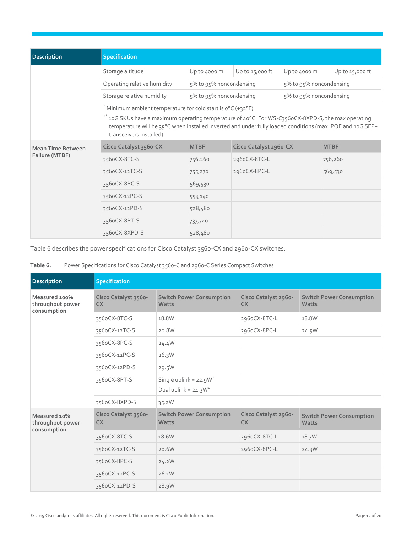| <b>Description</b>       | <b>Specification</b>                                                                                                                                                                                                                    |                         |                        |                         |                   |
|--------------------------|-----------------------------------------------------------------------------------------------------------------------------------------------------------------------------------------------------------------------------------------|-------------------------|------------------------|-------------------------|-------------------|
|                          | Storage altitude                                                                                                                                                                                                                        | Up to 4000 m            | Up to $15,000$ ft      | Up to 4000 m            | Up to $15,000$ ft |
|                          | Operating relative humidity                                                                                                                                                                                                             | 5% to 95% noncondensing |                        | 5% to 95% noncondensing |                   |
|                          | Storage relative humidity                                                                                                                                                                                                               | 5% to 95% noncondensing |                        | 5% to 95% noncondensing |                   |
|                          | Minimum ambient temperature for cold start is $0^{\circ}C$ (+32 $^{\circ}F$ )                                                                                                                                                           |                         |                        |                         |                   |
|                          | 10G SKUs have a maximum operating temperature of 40°C. For WS-C3560CX-8XPD-S, the max operating<br>temperature will be 35°C when installed inverted and under fully loaded conditions (max. POE and 10G SFP+<br>transceivers installed) |                         |                        |                         |                   |
| <b>Mean Time Between</b> | Cisco Catalyst 3560-CX                                                                                                                                                                                                                  | <b>MTBF</b>             | Cisco Catalyst 2960-CX |                         | <b>MTBF</b>       |
| Failure (MTBF)           | 356oCX-8TC-S                                                                                                                                                                                                                            | 756,260                 | 2960CX-8TC-L           |                         | 756,260           |
|                          | 3560CX-12TC-S                                                                                                                                                                                                                           | 755,270                 | 2960CX-8PC-L           |                         | 569,530           |
|                          | 3560CX-8PC-S                                                                                                                                                                                                                            | 569,530                 |                        |                         |                   |
|                          | 3560CX-12PC-S                                                                                                                                                                                                                           | 553,140                 |                        |                         |                   |
|                          | 3560CX-12PD-S                                                                                                                                                                                                                           | 528,480                 |                        |                         |                   |
|                          | 356oCX-8PT-S                                                                                                                                                                                                                            | 737,740                 |                        |                         |                   |
|                          | 3560CX-8XPD-S                                                                                                                                                                                                                           | 528,480                 |                        |                         |                   |

Table 6 describes the power specifications for Cisco Catalyst 3560-CX and 2960-CX switches.

| Table 6. | Power Specifications for Cisco Catalyst 3560-C and 2960-C Series Compact Switches |  |  |
|----------|-----------------------------------------------------------------------------------|--|--|
|----------|-----------------------------------------------------------------------------------|--|--|

| <b>Description</b>                               | <b>Specification</b>              |                                                     |                                   |                                                 |
|--------------------------------------------------|-----------------------------------|-----------------------------------------------------|-----------------------------------|-------------------------------------------------|
| Measured 100%<br>throughput power<br>consumption | Cisco Catalyst 3560-<br><b>CX</b> | <b>Switch Power Consumption</b><br>Watts            | Cisco Catalyst 2960-<br><b>CX</b> | <b>Switch Power Consumption</b><br>Watts        |
|                                                  | 356oCX-8TC-S                      | 18.8W                                               | 296oCX-8TC-L                      | 18.8W                                           |
|                                                  | 3560CX-12TC-S                     | 20.8W                                               | 2960CX-8PC-L                      | 24.5W                                           |
|                                                  | 356oCX-8PC-S                      | 24.4W                                               |                                   |                                                 |
|                                                  | 356oCX-12PC-S                     | 26.3W                                               |                                   |                                                 |
|                                                  | 356oCX-12PD-S                     | 29.5W                                               |                                   |                                                 |
|                                                  | 356oCX-8PT-S                      | Single uplink = $22.9W1$<br>Dual uplink = $24.3W^1$ |                                   |                                                 |
|                                                  | 356oCX-8XPD-S                     | 35.2W                                               |                                   |                                                 |
| Measured 10%<br>throughput power<br>consumption  | Cisco Catalyst 3560-<br><b>CX</b> | <b>Switch Power Consumption</b><br>Watts            | Cisco Catalyst 2960-<br><b>CX</b> | <b>Switch Power Consumption</b><br><b>Watts</b> |
|                                                  | 356oCX-8TC-S                      | 18.6W                                               | 296oCX-8TC-L                      | 18.7W                                           |
|                                                  | 3560CX-12TC-S                     | 20.6W                                               | 2960CX-8PC-L                      | 24.3W                                           |
|                                                  | 356oCX-8PC-S                      | 24.2W                                               |                                   |                                                 |
|                                                  | 3560CX-12PC-S                     | 26.1W                                               |                                   |                                                 |
|                                                  | 3560CX-12PD-S                     | 28.9W                                               |                                   |                                                 |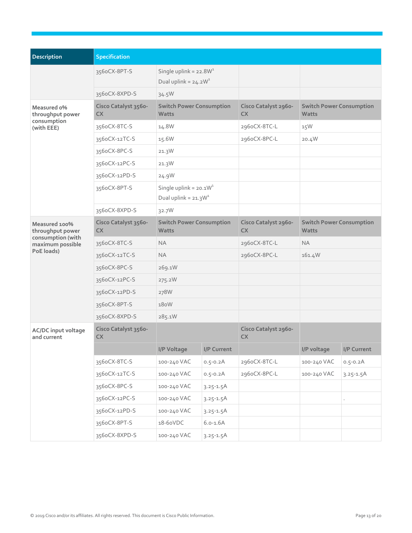| <b>Description</b>                                           | Specification                     |                                                    |               |                                   |                                          |               |
|--------------------------------------------------------------|-----------------------------------|----------------------------------------------------|---------------|-----------------------------------|------------------------------------------|---------------|
|                                                              | 356oCX-8PT-S                      | Single uplink = $22.8W1$<br>Dual uplink = $24.2W1$ |               |                                   |                                          |               |
|                                                              | 356oCX-8XPD-S                     | 34.5W                                              |               |                                   |                                          |               |
| Measured o%<br>throughput power<br>consumption<br>(with EEE) | Cisco Catalyst 3560-<br><b>CX</b> | <b>Switch Power Consumption</b><br><b>Watts</b>    |               | Cisco Catalyst 2960-<br><b>CX</b> | <b>Switch Power Consumption</b><br>Watts |               |
|                                                              | 356oCX-8TC-S                      | 14.8W                                              |               | 296oCX-8TC-L                      | 15W                                      |               |
|                                                              | 356oCX-12TC-S                     | 15.6W                                              |               | 296oCX-8PC-L                      | 20.4W                                    |               |
|                                                              | 356oCX-8PC-S                      | 21.3W                                              |               |                                   |                                          |               |
|                                                              | 356oCX-12PC-S                     | 21.3W                                              |               |                                   |                                          |               |
|                                                              | 356oCX-12PD-S                     | 24.9W                                              |               |                                   |                                          |               |
|                                                              | 356oCX-8PT-S                      | Single uplink = $20.1W1$<br>Dual uplink = $21.3W1$ |               |                                   |                                          |               |
|                                                              | 356oCX-8XPD-S                     | 32.7W                                              |               |                                   |                                          |               |
| Measured 100%<br>throughput power                            | Cisco Catalyst 3560-<br><b>CX</b> | <b>Switch Power Consumption</b><br><b>Watts</b>    |               | Cisco Catalyst 2960-<br><b>CX</b> | <b>Switch Power Consumption</b><br>Watts |               |
| consumption (with<br>maximum possible                        | 356oCX-8TC-S                      | <b>NA</b>                                          |               | 2960CX-8TC-L                      | <b>NA</b>                                |               |
| PoE loads)                                                   | 356oCX-12TC-S                     | <b>NA</b>                                          |               | 296oCX-8PC-L                      | 161.4W                                   |               |
|                                                              | 356oCX-8PC-S                      | 269.1W                                             |               |                                   |                                          |               |
|                                                              | 356oCX-12PC-S                     | 275.2W                                             |               |                                   |                                          |               |
|                                                              | 356oCX-12PD-S                     | 278W                                               |               |                                   |                                          |               |
|                                                              | 356oCX-8PT-S                      | 180W                                               |               |                                   |                                          |               |
|                                                              | 356oCX-8XPD-S                     | 285.1W                                             |               |                                   |                                          |               |
| <b>AC/DC</b> input voltage<br>and current                    | Cisco Catalyst 3560-<br>CX        |                                                    |               | Cisco Catalyst 2960-<br><b>CX</b> |                                          |               |
|                                                              |                                   | I/P Voltage                                        | I/P Current   |                                   | I/P voltage                              | I/P Current   |
|                                                              | 356oCX-8TC-S                      | 100-240 VAC                                        | $0.5 - 0.2A$  | 296oCX-8TC-L                      | 100-240 VAC                              | $0.5 - 0.2A$  |
|                                                              | 356oCX-12TC-S                     | 100-240 VAC                                        | $0.5 - 0.2A$  | 296oCX-8PC-L                      | 100-240 VAC                              | $3.25 - 1.5A$ |
|                                                              | 356oCX-8PC-S                      | 100-240 VAC                                        | $3.25 - 1.5A$ |                                   |                                          |               |
|                                                              | 356oCX-12PC-S                     | 100-240 VAC                                        | $3.25 - 1.5A$ |                                   |                                          |               |
|                                                              | 356oCX-12PD-S                     | 100-240 VAC                                        | $3.25 - 1.5A$ |                                   |                                          |               |
|                                                              | 356oCX-8PT-S                      | 18-60VDC                                           | $6.0 - 1.6A$  |                                   |                                          |               |
|                                                              | 356oCX-8XPD-S                     | 100-240 VAC                                        | $3.25 - 1.5A$ |                                   |                                          |               |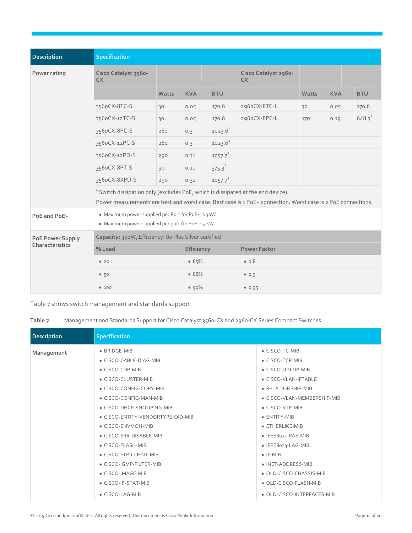| Description             | <b>Specification</b>                                                                                                                                                                                        |              |                   |              |                                   |       |            |             |
|-------------------------|-------------------------------------------------------------------------------------------------------------------------------------------------------------------------------------------------------------|--------------|-------------------|--------------|-----------------------------------|-------|------------|-------------|
| Power rating            | Cisco Catalyst 3560-<br><b>CX</b>                                                                                                                                                                           |              |                   |              | Cisco Catalyst 2960-<br><b>CX</b> |       |            |             |
|                         |                                                                                                                                                                                                             | <b>Watts</b> | <b>KVA</b>        | <b>BTU</b>   |                                   | Watts | <b>KVA</b> | <b>BTU</b>  |
|                         | 356oCX-8TC-S                                                                                                                                                                                                | 30           | 0.05              | 170.6        | 296oCX-8TC-L                      | 30    | 0.05       | 170.6       |
|                         | 3560CX-12TC-S                                                                                                                                                                                               | 30           | 0.05              | 170.6        | 2960CX-8PC-L                      | 170   | 0.19       | $648.3^{1}$ |
|                         | 356oCX-8PC-S                                                                                                                                                                                                | 280          | 0.3               | $1023.6^1$   |                                   |       |            |             |
|                         | 3560CX-12PC-S                                                                                                                                                                                               | 280          | 0.3               | $1023.6^1$   |                                   |       |            |             |
|                         | 3560CX-12PD-S                                                                                                                                                                                               | 290          | 0.31              | $1057.7^{1}$ |                                   |       |            |             |
|                         | 356oCX-8PT-S                                                                                                                                                                                                | 90           | 0.11              | $375.3^{1}$  |                                   |       |            |             |
|                         | 356oCX-8XPD-S                                                                                                                                                                                               | 290          | 0.31              | $1057.7^{1}$ |                                   |       |            |             |
|                         | <sup>1</sup> Switch dissipation only (excludes PoE, which is dissipated at the end device).<br>Power measurements are best and worst case. Best case is 1 PoE+ connection. Worst case is 2 PoE connections. |              |                   |              |                                   |       |            |             |
| PoE and PoE+            | • Maximum power supplied per Port for PoE+ is 30W<br>• Maximum power supplied per port for PoE: 15.4W                                                                                                       |              |                   |              |                                   |       |            |             |
| <b>PoE Power Supply</b> | Capacity: 300W, Efficiency: 80 Plus Silver certified                                                                                                                                                        |              |                   |              |                                   |       |            |             |
| Characteristics         | % Load                                                                                                                                                                                                      |              | <b>Efficiency</b> |              | <b>Power Factor</b>               |       |            |             |
|                         | • 20                                                                                                                                                                                                        |              | 85%               |              | $\bullet$ 0.8                     |       |            |             |
|                         | •50                                                                                                                                                                                                         |              | • 88%             |              | 0.9                               |       |            |             |
|                         | •100                                                                                                                                                                                                        |              | $90\%$            |              | 0.95                              |       |            |             |

Table 7 shows switch management and standards support.

**Table 7.** Management and Standards Support for Cisco Catalyst 3560-CX and 2960-CX Series Compact Switches

| <b>Description</b> | Specification                     |                             |
|--------------------|-----------------------------------|-----------------------------|
| Management         | • BRIDGE-MIB                      | • CISCO-TC-MIB              |
|                    | • CISCO-CABLE-DIAG-MIB            | • CISCO-TCP-MIB             |
|                    | • CISCO-CDP-MIB                   | • CISCO-UDLDP-MIB           |
|                    | • CISCO-CLUSTER-MIB               | • CISCO-VLAN-IFTABLE        |
|                    | • CISCO-CONFIG-COPY-MIB           | • RELATIONSHIP-MIB          |
|                    | • CISCO-CONFIG-MAN-MIB            | • CISCO-VLAN-MEMBERSHIP-MIB |
|                    | • CISCO-DHCP-SNOOPING-MIB         | • CISCO-VTP-MIB             |
|                    | • CISCO-ENTITY-VENDORTYPE-OID-MIB | • ENTITY-MIB                |
|                    | • CISCO-ENVMON-MIB                | • ETHERLIKE-MIB             |
|                    | • CISCO-ERR-DISABLE-MIB           | • IEEE8021-PAE-MIB          |
|                    | • CISCO-FLASH-MIB                 | • IEEE8023-LAG-MIB          |
|                    | • CISCO-FTP-CLIENT-MIB            | $\bullet$ IF-MIB            |
|                    | • CISCO-IGMP-FILTER-MIB           | • INET-ADDRESS-MIB          |
|                    | • CISCO-IMAGE-MIB                 | • OLD-CISCO-CHASSIS-MIB     |
|                    | • CISCO-IP-STAT-MIB               | • OLD-CISCO-FLASH-MIB       |
|                    | • CISCO-LAG-MIB                   | • OLD-CISCO-INTERFACES-MIB  |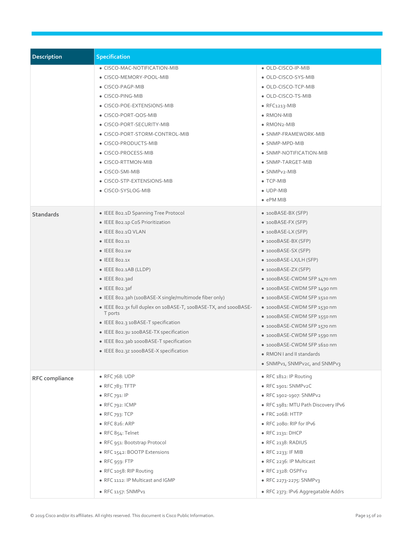| Description      | <b>Specification</b>                                                                                                                                                                                                                                                                                                                                                                                                                                                                                                                  |                                                                                                                                                                                                                                                                                                                                                                                                                                                                                             |
|------------------|---------------------------------------------------------------------------------------------------------------------------------------------------------------------------------------------------------------------------------------------------------------------------------------------------------------------------------------------------------------------------------------------------------------------------------------------------------------------------------------------------------------------------------------|---------------------------------------------------------------------------------------------------------------------------------------------------------------------------------------------------------------------------------------------------------------------------------------------------------------------------------------------------------------------------------------------------------------------------------------------------------------------------------------------|
|                  | • CISCO-MAC-NOTIFICATION-MIB<br>· CISCO-MEMORY-POOL-MIB<br>• CISCO-PAGP-MIB<br>• CISCO-PING-MIB<br>· CISCO-POE-EXTENSIONS-MIB<br>• CISCO-PORT-QOS-MIB<br>• CISCO-PORT-SECURITY-MIB<br>• CISCO-PORT-STORM-CONTROL-MIB<br>• CISCO-PRODUCTS-MIB<br>• CISCO-PROCESS-MIB<br>• CISCO-RTTMON-MIB<br>• CISCO-SMI-MIB<br>• CISCO-STP-EXTENSIONS-MIB<br>• CISCO-SYSLOG-MIB                                                                                                                                                                      | • OLD-CISCO-IP-MIB<br>· OLD-CISCO-SYS-MIB<br>• OLD-CISCO-TCP-MIB<br>• OLD-CISCO-TS-MIB<br>$\bullet$ RFC1213-MIB<br>• RMON-MIB<br>$\bullet$ RMON <sub>2</sub> -MIB<br>· SNMP-FRAMEWORK-MIB<br>• SNMP-MPD-MIB<br>• SNMP-NOTIFICATION-MIB<br>• SNMP-TARGET-MIB<br>• SNMPv2-MIB<br>$\bullet$ TCP-MIB<br>$\bullet$ UDP-MIB<br>$\bullet$ ePM MIB                                                                                                                                                  |
| <b>Standards</b> | • IEEE 802.1D Spanning Tree Protocol<br>· IEEE 802.1p CoS Prioritization<br>• IEEE 802.1Q VLAN<br>• IEEE 802.15<br>• IEEE 802.1W<br>• IEEE 802.1X<br>$\bullet$ IEEE 802.1AB (LLDP)<br>• IEEE 802.3ad<br>• IEEE 802.3af<br>· IEEE 802.3ah (100BASE-X single/multimode fiber only)<br>· IEEE 802.3x full duplex on 10BASE-T, 100BASE-TX, and 1000BASE-<br>T ports<br>• IEEE 802.3 10BASE-T specification<br>• IEEE 802.30 100BASE-TX specification<br>• IEEE 802.3ab 1000BASE-T specification<br>· IEEE 802.3z 1000BASE-X specification | • 100BASE-BX (SFP)<br>• 100BASE-FX (SFP)<br>• 100BASE-LX (SFP)<br>• 1000BASE-BX (SFP)<br>• 1000BASE-SX (SFP)<br>$\bullet$ 1000BASE-LX/LH (SFP)<br>• 1000BASE-ZX (SFP)<br>• 1000BASE-CWDM SFP 1470 nm<br>• 1000BASE-CWDM SFP 1490 nm<br>• 1000BASE-CWDM SFP 1510 nm<br>● 1000BASE-CWDM SFP 1530 nm<br>• 1000BASE-CWDM SFP 1550 nm<br>• 1000BASE-CWDM SFP 1570 nm<br>• 1000BASE-CWDM SFP 1590 nm<br>• 1000BASE-CWDM SFP 1610 nm<br>• RMON I and II standards<br>• SNMPv1, SNMPv2c, and SNMPv3 |
| RFC compliance   | • RFC 768: UDP<br>$\bullet$ RFC $783:$ TFTP<br>$\bullet$ RFC 791: IP<br>$\bullet$ RFC 792: ICMP<br>• RFC 793: TCP<br>• RFC 826: ARP<br>· RFC 854: Telnet<br>• RFC 951: Bootstrap Protocol<br>• RFC 1542: BOOTP Extensions<br>$\bullet$ RFC 959: FTP<br>· RFC 1058: RIP Routing<br>• RFC 1112: IP Multicast and IGMP<br>$\bullet$ RFC 1157: SNMPv1                                                                                                                                                                                     | • RFC 1812: IP Routing<br>· RFC 1901: SNMPv2C<br>• RFC 1902-1907: SNMPv2<br>· RFC 1981: MTU Path Discovery IPv6<br>• FRC 2068: HTTP<br>• RFC 2080: RIP for IPv6<br>• RFC 2131: DHCP<br>· RFC 2138: RADIUS<br>$\bullet$ RFC 2233: IF MIB<br>• RFC 2236: IP Multicast<br>• RFC 2328: OSPFv2<br>• RFC 2273-2275: SNMPv3<br>• RFC 2373: IPv6 Aggregatable Addrs                                                                                                                                 |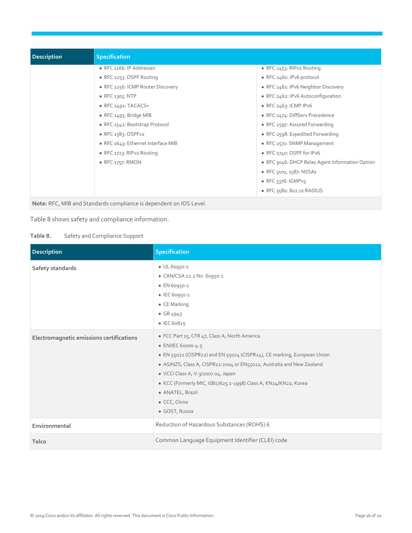| <b>Description</b> | <b>Specification</b>                                               |                                                 |
|--------------------|--------------------------------------------------------------------|-------------------------------------------------|
|                    | • RFC 1166: IP Addresses                                           | • RFC 2453: RIPv2 Routing                       |
|                    | • RFC 1253: OSPF Routing                                           | • RFC 2460: IPv6 protocol                       |
|                    | • RFC 1256: ICMP Router Discovery                                  | • RFC 2461: IPv6 Neighbor Discovery             |
|                    | $\bullet$ RFC 1305: NTP                                            | • RFC 2462: IPv6 Autoconfiguration              |
|                    | • RFC $1492: TACACS+$                                              | $\bullet$ RFC 2463: ICMP IPv6                   |
|                    | • RFC $1493$ : Bridge MIB                                          | • RFC 2474: DiffServ Precedence                 |
|                    | • RFC 1542: Bootstrap Protocol                                     | • RFC 2597: Assured Forwarding                  |
|                    | $\bullet$ RFC 1583: OSPFv2                                         | • RFC 2598: Expedited Forwarding                |
|                    | • RFC 1643: Ethernet Interface MIB                                 | • RFC 2571: SNMP Management                     |
|                    | • RFC 1723: RIPv2 Routing                                          | • RFC 2740: OSPF for IPv6                       |
|                    | • RFC 1757: RMON                                                   | • RFC 3046: DHCP Relay Agent Information Option |
|                    |                                                                    | • RFC 3101, 1587: NSSAs                         |
|                    |                                                                    | $\bullet$ RFC 3376: IGMPv3                      |
|                    |                                                                    | • RFC 3580: 802.1X RADIUS                       |
|                    | Note: RFC, MIB and Standards compliance is dependent on IOS Level. |                                                 |

Table 8 shows safety and compliance information.

| Table 8. | Safety and Compliance Support |  |
|----------|-------------------------------|--|

| Description                              | <b>Specification</b>                                                                                                                                                                                                                                                                                                                                                                  |
|------------------------------------------|---------------------------------------------------------------------------------------------------------------------------------------------------------------------------------------------------------------------------------------------------------------------------------------------------------------------------------------------------------------------------------------|
| Safety standards                         | · UL 60950-1<br>• CAN/CSA 22.2 No. 60950-1<br>$\bullet$ EN 60950-1<br>• IEC 60950-1<br>$\bullet$ CE Marking<br>$\bullet$ GB 4943<br>$\bullet$ IEC 60825                                                                                                                                                                                                                               |
| Electromagnetic emissions certifications | • FCC Part 15, CFR 47, Class A, North America<br>• EN/IEC 61000-4-5<br>• EN 55022 (CISPR22) and EN 55024 (CISPR24), CE marking, European Union<br>• AS/NZS, Class A, CISPR22:2004 or EN55022, Australia and New Zealand<br>· VCCI Class A, V-3/2007.04, Japan<br>· KCC (Formerly MIC, GB17625.1-1998) Class A, KN24/KN22, Korea<br>· ANATEL, Brazil<br>• CCC, China<br>· GOST, Russia |
| Environmental                            | Reduction of Hazardous Substances (ROHS) 6                                                                                                                                                                                                                                                                                                                                            |
| Telco                                    | Common Language Equipment Identifier (CLEI) code                                                                                                                                                                                                                                                                                                                                      |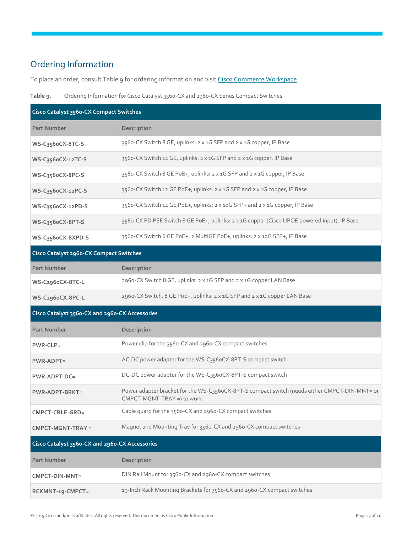# <span id="page-16-0"></span>Ordering Information

To place an order, consult Table 9 for ordering information and visit [Cisco Commerce Workspace.](https://sso.cisco.com/autho/forms/CDClogin.html)



| Cisco Catalyst 3560-CX Compact Switches        |                                                                                                                             |  |
|------------------------------------------------|-----------------------------------------------------------------------------------------------------------------------------|--|
| <b>Part Number</b>                             | Description                                                                                                                 |  |
| WS-C356oCX-8TC-S                               | 3560-CX Switch 8 GE, uplinks: 2 x 1G SFP and 2 x 1G copper, IP Base                                                         |  |
| WS-C356oCX-12TC-S                              | 3560-CX Switch 12 GE, uplinks: 2 x 1G SFP and 2 x 1G copper, IP Base                                                        |  |
| WS-C356oCX-8PC-S                               | 3560-CX Switch 8 GE PoE+, uplinks: 2 x 1G SFP and 2 x 1G copper, IP Base                                                    |  |
| WS-C356oCX-12PC-S                              | 3560-CX Switch 12 GE PoE+, uplinks: 2 x 1G SFP and 2 x 1G copper, IP Base                                                   |  |
| WS-C356oCX-12PD-S                              | 3560-CX Switch 12 GE PoE+, uplinks: 2 x 10G SFP+ and 2 x 1G copper, IP Base                                                 |  |
| WS-C356oCX-8PT-S                               | 3560-CX PD PSE Switch 8 GE PoE+, uplinks: 2 x 1G copper (Cisco UPOE powered input), IP Base                                 |  |
| WS-C356oCX-8XPD-S                              | 3560-CX Switch 6 GE PoE+, 2 MultiGE PoE+, uplinks: 2 x 10G SFP+, IP Base                                                    |  |
| Cisco Catalyst 2960-CX Compact Switches        |                                                                                                                             |  |
| <b>Part Number</b>                             | Description                                                                                                                 |  |
| WS-C296oCX-8TC-L                               | 2960-CX Switch 8 GE, uplinks: 2 x 1G SFP and 2 x 1G copper LAN Base                                                         |  |
| WS-C296oCX-8PC-L                               | 2960-CX Switch, 8 GE PoE+, uplinks: 2 x 1G SFP and 2 x 1G copper LAN Base                                                   |  |
| Cisco Catalyst 3560-CX and 2960-CX Accessories |                                                                                                                             |  |
| <b>Part Number</b>                             | Description                                                                                                                 |  |
| $PWR-CLP =$                                    | Power clip for the 3560-CX and 2960-CX compact switches                                                                     |  |
| <b>PWR-ADPT=</b>                               | AC-DC power adapter for the WS-C356oCX-8PT-S compact switch                                                                 |  |
| PWR-ADPT-DC=                                   | DC-DC power adapter for the WS-C356oCX-8PT-S compact switch                                                                 |  |
| $PWR-ADPT-BRKT=$                               | Power adapter bracket for the WS-C356oCX-8PT-S compact switch (needs either CMPCT-DIN-MNT= or<br>CMPCT-MGNT-TRAY =) to work |  |
| CMPCT-CBLE-GRD=                                | Cable guard for the 3560-CX and 2960-CX compact switches                                                                    |  |
| CMPCT-MGNT-TRAY =                              | Magnet and Mounting Tray for 3560-CX and 2960-CX compact switches                                                           |  |
| Cisco Catalyst 3560-CX and 2960-CX Accessories |                                                                                                                             |  |
| <b>Part Number</b>                             | Description                                                                                                                 |  |
| CMPCT-DIN-MNT=                                 | DIN Rail Mount for 3560-CX and 2960-CX compact switches                                                                     |  |
| RCKMNT-19-CMPCT=                               | 19-Inch Rack Mounting Brackets for 3560-CX and 2960-CX compact switches                                                     |  |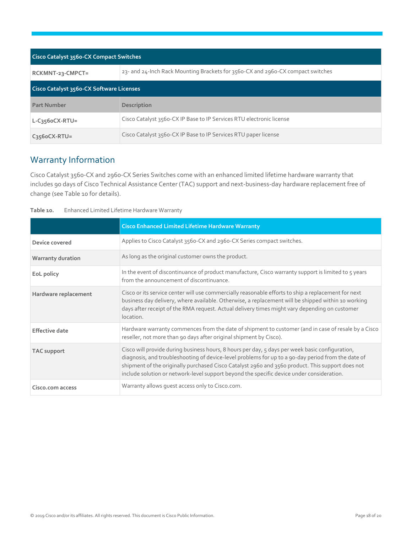| <b>Cisco Catalyst 3560-CX Compact Switches</b> |                                                                                 |  |
|------------------------------------------------|---------------------------------------------------------------------------------|--|
| RCKMNT-23-CMPCT=                               | 23- and 24-lnch Rack Mounting Brackets for 3560-CX and 2960-CX compact switches |  |
| Cisco Catalyst 3560-CX Software Licenses       |                                                                                 |  |
| <b>Part Number</b>                             | Description                                                                     |  |
| $L-C3560CX-RTU=$                               | Cisco Catalyst 3560-CX IP Base to IP Services RTU electronic license            |  |
| $C3560CX-RTU=$                                 | Cisco Catalyst 3560-CX IP Base to IP Services RTU paper license                 |  |

# <span id="page-17-0"></span>Warranty Information

Cisco Catalyst 3560-CX and 2960-CX Series Switches come with an enhanced limited lifetime hardware warranty that includes 90 days of Cisco Technical Assistance Center (TAC) support and next-business-day hardware replacement free of change (see Table 10 for details).

| Enhanced Limited Lifetime Hardware Warranty |
|---------------------------------------------|
|                                             |

|                          | <b>Cisco Enhanced Limited Lifetime Hardware Warranty</b>                                                                                                                                                                                                                                                                                                                                               |
|--------------------------|--------------------------------------------------------------------------------------------------------------------------------------------------------------------------------------------------------------------------------------------------------------------------------------------------------------------------------------------------------------------------------------------------------|
| Device covered           | Applies to Cisco Catalyst 3560-CX and 2960-CX Series compact switches.                                                                                                                                                                                                                                                                                                                                 |
| <b>Warranty duration</b> | As long as the original customer owns the product.                                                                                                                                                                                                                                                                                                                                                     |
| EoL policy               | In the event of discontinuance of product manufacture, Cisco warranty support is limited to 5 years<br>from the announcement of discontinuance.                                                                                                                                                                                                                                                        |
| Hardware replacement     | Cisco or its service center will use commercially reasonable efforts to ship a replacement for next<br>business day delivery, where available. Otherwise, a replacement will be shipped within 10 working<br>days after receipt of the RMA request. Actual delivery times might vary depending on customer<br>location.                                                                                |
| <b>Effective date</b>    | Hardware warranty commences from the date of shipment to customer (and in case of resale by a Cisco<br>reseller, not more than 90 days after original shipment by Cisco).                                                                                                                                                                                                                              |
| <b>TAC</b> support       | Cisco will provide during business hours, 8 hours per day, 5 days per week basic configuration,<br>diagnosis, and troubleshooting of device-level problems for up to a 90-day period from the date of<br>shipment of the originally purchased Cisco Catalyst 2960 and 3560 product. This support does not<br>include solution or network-level support beyond the specific device under consideration. |
| Cisco.com access         | Warranty allows quest access only to Cisco.com.                                                                                                                                                                                                                                                                                                                                                        |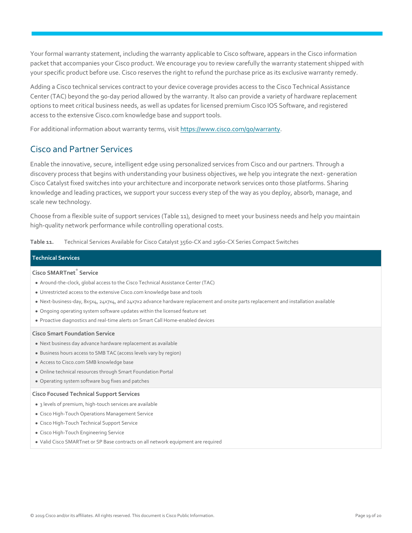Your formal warranty statement, including the warranty applicable to Cisco software, appears in the Cisco information packet that accompanies your Cisco product. We encourage you to review carefully the warranty statement shipped with your specific product before use. Cisco reserves the right to refund the purchase price as its exclusive warranty remedy.

Adding a Cisco technical services contract to your device coverage provides access to the Cisco Technical Assistance Center (TAC) beyond the 90-day period allowed by the warranty. It also can provide a variety of hardware replacement options to meet critical business needs, as well as updates for licensed premium Cisco IOS Software, and registered access to the extensive Cisco.com knowledge base and support tools.

For additional information about warranty terms, visi[t https://www.cisco.com/go/warranty.](https://www.cisco.com/go/warranty)

### <span id="page-18-0"></span>Cisco and Partner Services

Enable the innovative, secure, intelligent edge using personalized services from Cisco and our partners. Through a discovery process that begins with understanding your business objectives, we help you integrate the next- generation Cisco Catalyst fixed switches into your architecture and incorporate network services onto those platforms. Sharing knowledge and leading practices, we support your success every step of the way as you deploy, absorb, manage, and scale new technology.

Choose from a flexible suite of support services (Table 11), designed to meet your business needs and help you maintain high-quality network performance while controlling operational costs.

**Table 11.** Technical Services Available for Cisco Catalyst 3560-CX and 2960-CX Series Compact Switches

#### **Technical Services**

#### **Cisco SMARTnet**® **Service**

- Around-the-clock, global access to the Cisco Technical Assistance Center (TAC)
- Unrestricted access to the extensive Cisco.com knowledge base and tools
- Next-business-day, 8x5x4, 24x7x4, and 24x7x2 advance hardware replacement and onsite parts replacement and installation available
- Ongoing operating system software updates within the licensed feature set
- Proactive diagnostics and real-time alerts on Smart Call Home-enabled devices

#### **Cisco Smart Foundation Service**

- Next business day advance hardware replacement as available
- Business hours access to SMB TAC (access levels vary by region)
- Access to Cisco.com SMB knowledge base
- Online technical resources through Smart Foundation Portal
- Operating system software bug fixes and patches

#### **Cisco Focused Technical Support Services**

- 3 levels of premium, high-touch services are available
- Cisco High-Touch Operations Management Service
- Cisco High-Touch Technical Support Service
- Cisco High-Touch Engineering Service
- Valid Cisco SMARTnet or SP Base contracts on all network equipment are required